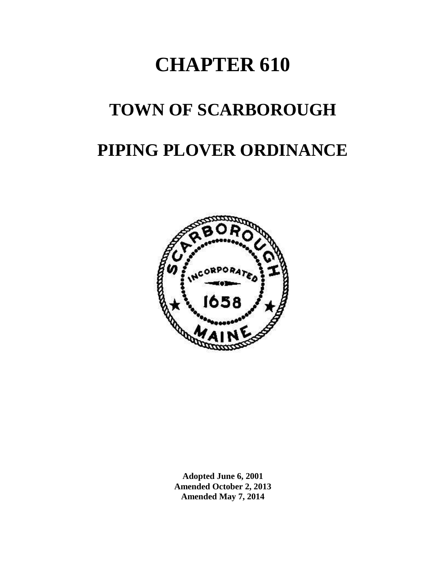## **CHAPTER 610**

# **TOWN OF SCARBOROUGH PIPING PLOVER ORDINANCE**



**Adopted June 6, 2001 Amended October 2, 2013 Amended May 7, 2014**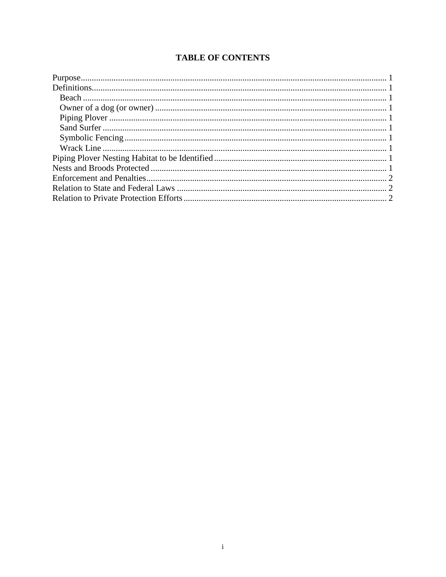### **TABLE OF CONTENTS**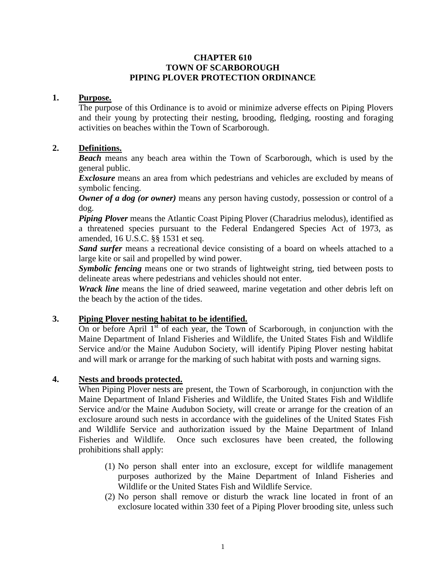#### **CHAPTER 610 TOWN OF SCARBOROUGH PIPING PLOVER PROTECTION ORDINANCE**

#### **1. Purpose.**

<span id="page-2-0"></span>The purpose of this Ordinance is to avoid or minimize adverse effects on Piping Plovers and their young by protecting their nesting, brooding, fledging, roosting and foraging activities on beaches within the Town of Scarborough.

#### **2. Definitions.**

<span id="page-2-2"></span><span id="page-2-1"></span>*Beach* means any beach area within the Town of Scarborough, which is used by the general public.

*Exclosure* means an area from which pedestrians and vehicles are excluded by means of symbolic fencing.

<span id="page-2-3"></span>*Owner of a dog (or owner)* means any person having custody, possession or control of a dog.

<span id="page-2-4"></span>*Piping Plover* means the Atlantic Coast Piping Plover (Charadrius melodus), identified as a threatened species pursuant to the Federal Endangered Species Act of 1973, as amended, 16 U.S.C. §§ 1531 et seq.

<span id="page-2-5"></span>*Sand surfer* means a recreational device consisting of a board on wheels attached to a large kite or sail and propelled by wind power.

<span id="page-2-6"></span>*Symbolic fencing* means one or two strands of lightweight string, tied between posts to delineate areas where pedestrians and vehicles should not enter.

<span id="page-2-7"></span>*Wrack line* means the line of dried seaweed, marine vegetation and other debris left on the beach by the action of the tides.

#### **3. Piping Plover nesting habitat to be identified.**

<span id="page-2-8"></span>On or before April  $1<sup>st</sup>$  of each year, the Town of Scarborough, in conjunction with the Maine Department of Inland Fisheries and Wildlife, the United States Fish and Wildlife Service and/or the Maine Audubon Society, will identify Piping Plover nesting habitat and will mark or arrange for the marking of such habitat with posts and warning signs.

#### **4. Nests and broods protected.**

<span id="page-2-9"></span>When Piping Plover nests are present, the Town of Scarborough, in conjunction with the Maine Department of Inland Fisheries and Wildlife, the United States Fish and Wildlife Service and/or the Maine Audubon Society, will create or arrange for the creation of an exclosure around such nests in accordance with the guidelines of the United States Fish and Wildlife Service and authorization issued by the Maine Department of Inland Fisheries and Wildlife. Once such exclosures have been created, the following prohibitions shall apply:

- (1) No person shall enter into an exclosure, except for wildlife management purposes authorized by the Maine Department of Inland Fisheries and Wildlife or the United States Fish and Wildlife Service.
- (2) No person shall remove or disturb the wrack line located in front of an exclosure located within 330 feet of a Piping Plover brooding site, unless such